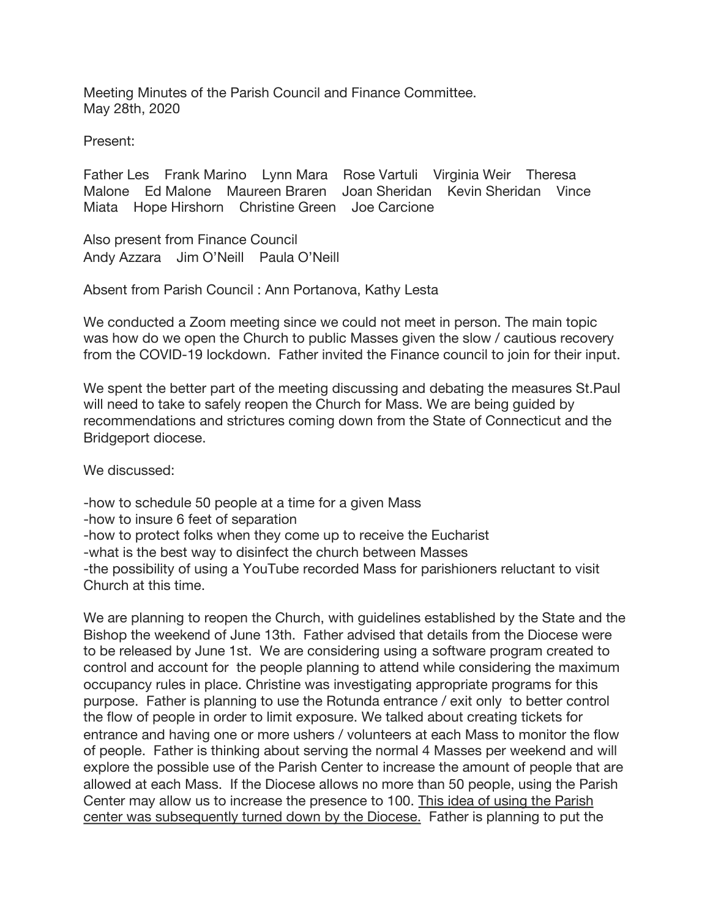Meeting Minutes of the Parish Council and Finance Committee. May 28th, 2020

Present:

Father Les Frank Marino Lynn Mara Rose Vartuli Virginia Weir Theresa Malone Ed Malone Maureen Braren Joan Sheridan Kevin Sheridan Vince Miata Hope Hirshorn Christine Green Joe Carcione

Also present from Finance Council Andy Azzara Jim O'Neill Paula O'Neill

Absent from Parish Council : Ann Portanova, Kathy Lesta

We conducted a Zoom meeting since we could not meet in person. The main topic was how do we open the Church to public Masses given the slow / cautious recovery from the COVID-19 lockdown. Father invited the Finance council to join for their input.

We spent the better part of the meeting discussing and debating the measures St.Paul will need to take to safely reopen the Church for Mass. We are being guided by recommendations and strictures coming down from the State of Connecticut and the Bridgeport diocese.

We discussed:

-how to schedule 50 people at a time for a given Mass -how to insure 6 feet of separation

-how to protect folks when they come up to receive the Eucharist

-what is the best way to disinfect the church between Masses

-the possibility of using a YouTube recorded Mass for parishioners reluctant to visit Church at this time.

We are planning to reopen the Church, with guidelines established by the State and the Bishop the weekend of June 13th. Father advised that details from the Diocese were to be released by June 1st. We are considering using a software program created to control and account for the people planning to attend while considering the maximum occupancy rules in place. Christine was investigating appropriate programs for this purpose. Father is planning to use the Rotunda entrance / exit only to better control the flow of people in order to limit exposure. We talked about creating tickets for entrance and having one or more ushers / volunteers at each Mass to monitor the flow of people. Father is thinking about serving the normal 4 Masses per weekend and will explore the possible use of the Parish Center to increase the amount of people that are allowed at each Mass. If the Diocese allows no more than 50 people, using the Parish Center may allow us to increase the presence to 100. This idea of using the Parish center was subsequently turned down by the Diocese. Father is planning to put the